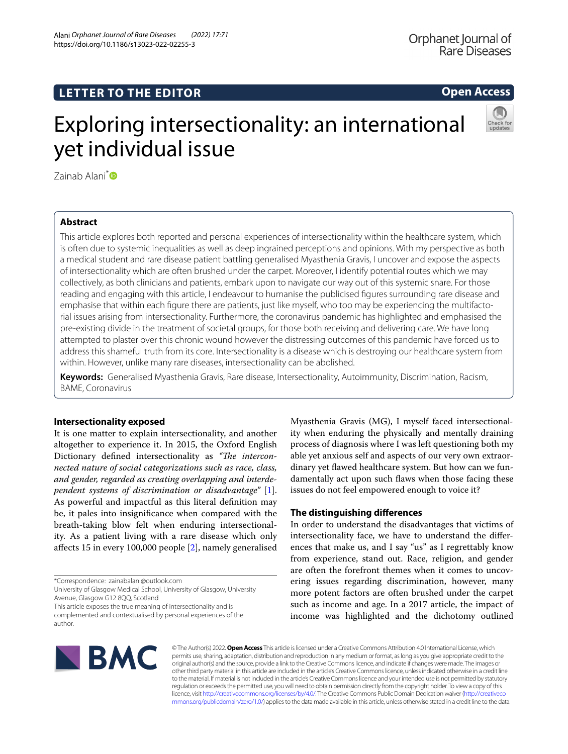**Open Access**

# Exploring intersectionality: an international yet individual issue



Zainab Alani<sup>[\\*](http://orcid.org/0000-0002-5258-1295)</sup>

# **Abstract**

This article explores both reported and personal experiences of intersectionality within the healthcare system, which is often due to systemic inequalities as well as deep ingrained perceptions and opinions. With my perspective as both a medical student and rare disease patient battling generalised Myasthenia Gravis, I uncover and expose the aspects of intersectionality which are often brushed under the carpet. Moreover, I identify potential routes which we may collectively, as both clinicians and patients, embark upon to navigate our way out of this systemic snare. For those reading and engaging with this article, I endeavour to humanise the publicised fgures surrounding rare disease and emphasise that within each fgure there are patients, just like myself, who too may be experiencing the multifactorial issues arising from intersectionality. Furthermore, the coronavirus pandemic has highlighted and emphasised the pre-existing divide in the treatment of societal groups, for those both receiving and delivering care. We have long attempted to plaster over this chronic wound however the distressing outcomes of this pandemic have forced us to address this shameful truth from its core. Intersectionality is a disease which is destroying our healthcare system from within. However, unlike many rare diseases, intersectionality can be abolished.

**Keywords:** Generalised Myasthenia Gravis, Rare disease, Intersectionality, Autoimmunity, Discrimination, Racism, BAME, Coronavirus

# **Intersectionality exposed**

It is one matter to explain intersectionality, and another altogether to experience it. In 2015, the Oxford English Dictionary defined intersectionality as "The intercon*nected nature of social categorizations such as race, class, and gender, regarded as creating overlapping and interdependent systems of discrimination or disadvantage"* [\[1](#page-3-0)]. As powerful and impactful as this literal defnition may be, it pales into insignifcance when compared with the breath-taking blow felt when enduring intersectionality. As a patient living with a rare disease which only afects 15 in every 100,000 people [[2\]](#page-3-1), namely generalised

\*Correspondence: zainabalani@outlook.com

University of Glasgow Medical School, University of Glasgow, University Avenue, Glasgow G12 8QQ, Scotland

This article exposes the true meaning of intersectionality and is complemented and contextualised by personal experiences of the author.

Myasthenia Gravis (MG), I myself faced intersectionality when enduring the physically and mentally draining process of diagnosis where I was left questioning both my able yet anxious self and aspects of our very own extraordinary yet fawed healthcare system. But how can we fundamentally act upon such faws when those facing these issues do not feel empowered enough to voice it?

# **The distinguishing diferences**

In order to understand the disadvantages that victims of intersectionality face, we have to understand the diferences that make us, and I say "us" as I regrettably know from experience, stand out. Race, religion, and gender are often the forefront themes when it comes to uncovering issues regarding discrimination, however, many more potent factors are often brushed under the carpet such as income and age. In a 2017 article, the impact of income was highlighted and the dichotomy outlined



© The Author(s) 2022. **Open Access** This article is licensed under a Creative Commons Attribution 4.0 International License, which permits use, sharing, adaptation, distribution and reproduction in any medium or format, as long as you give appropriate credit to the original author(s) and the source, provide a link to the Creative Commons licence, and indicate if changes were made. The images or other third party material in this article are included in the article's Creative Commons licence, unless indicated otherwise in a credit line to the material. If material is not included in the article's Creative Commons licence and your intended use is not permitted by statutory regulation or exceeds the permitted use, you will need to obtain permission directly from the copyright holder. To view a copy of this licence, visit [http://creativecommons.org/licenses/by/4.0/.](http://creativecommons.org/licenses/by/4.0/) The Creative Commons Public Domain Dedication waiver ([http://creativeco](http://creativecommons.org/publicdomain/zero/1.0/) [mmons.org/publicdomain/zero/1.0/](http://creativecommons.org/publicdomain/zero/1.0/)) applies to the data made available in this article, unless otherwise stated in a credit line to the data.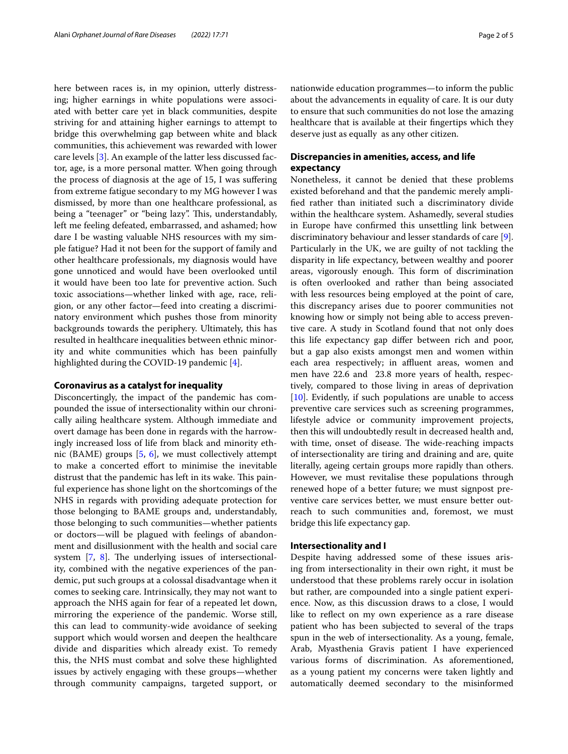here between races is, in my opinion, utterly distressing; higher earnings in white populations were associated with better care yet in black communities, despite striving for and attaining higher earnings to attempt to bridge this overwhelming gap between white and black communities, this achievement was rewarded with lower care levels [[3\]](#page-3-2). An example of the latter less discussed factor, age, is a more personal matter. When going through the process of diagnosis at the age of 15, I was sufering from extreme fatigue secondary to my MG however I was dismissed, by more than one healthcare professional, as being a "teenager" or "being lazy". This, understandably, left me feeling defeated, embarrassed, and ashamed; how dare I be wasting valuable NHS resources with my simple fatigue? Had it not been for the support of family and other healthcare professionals, my diagnosis would have gone unnoticed and would have been overlooked until it would have been too late for preventive action. Such toxic associations—whether linked with age, race, religion, or any other factor—feed into creating a discriminatory environment which pushes those from minority backgrounds towards the periphery. Ultimately, this has resulted in healthcare inequalities between ethnic minority and white communities which has been painfully highlighted during the COVID-19 pandemic [[4\]](#page-3-3).

#### **Coronavirus as a catalyst for inequality**

Disconcertingly, the impact of the pandemic has compounded the issue of intersectionality within our chronically ailing healthcare system. Although immediate and overt damage has been done in regards with the harrowingly increased loss of life from black and minority ethnic (BAME) groups [[5,](#page-3-4) [6](#page-3-5)], we must collectively attempt to make a concerted effort to minimise the inevitable distrust that the pandemic has left in its wake. This painful experience has shone light on the shortcomings of the NHS in regards with providing adequate protection for those belonging to BAME groups and, understandably, those belonging to such communities—whether patients or doctors—will be plagued with feelings of abandonment and disillusionment with the health and social care system  $[7, 8]$  $[7, 8]$  $[7, 8]$  $[7, 8]$ . The underlying issues of intersectionality, combined with the negative experiences of the pandemic, put such groups at a colossal disadvantage when it comes to seeking care. Intrinsically, they may not want to approach the NHS again for fear of a repeated let down, mirroring the experience of the pandemic. Worse still, this can lead to community-wide avoidance of seeking support which would worsen and deepen the healthcare divide and disparities which already exist. To remedy this, the NHS must combat and solve these highlighted issues by actively engaging with these groups—whether through community campaigns, targeted support, or nationwide education programmes—to inform the public about the advancements in equality of care. It is our duty to ensure that such communities do not lose the amazing healthcare that is available at their fngertips which they deserve just as equally as any other citizen.

# **Discrepancies in amenities, access, and life expectancy**

Nonetheless, it cannot be denied that these problems existed beforehand and that the pandemic merely amplifed rather than initiated such a discriminatory divide within the healthcare system. Ashamedly, several studies in Europe have confrmed this unsettling link between discriminatory behaviour and lesser standards of care [\[9](#page-3-8)]. Particularly in the UK, we are guilty of not tackling the disparity in life expectancy, between wealthy and poorer areas, vigorously enough. This form of discrimination is often overlooked and rather than being associated with less resources being employed at the point of care, this discrepancy arises due to poorer communities not knowing how or simply not being able to access preventive care. A study in Scotland found that not only does this life expectancy gap difer between rich and poor, but a gap also exists amongst men and women within each area respectively; in affluent areas, women and men have 22.6 and 23.8 more years of health, respectively, compared to those living in areas of deprivation [[10\]](#page-3-9). Evidently, if such populations are unable to access preventive care services such as screening programmes, lifestyle advice or community improvement projects, then this will undoubtedly result in decreased health and, with time, onset of disease. The wide-reaching impacts of intersectionality are tiring and draining and are, quite literally, ageing certain groups more rapidly than others. However, we must revitalise these populations through renewed hope of a better future; we must signpost preventive care services better, we must ensure better outreach to such communities and, foremost, we must bridge this life expectancy gap.

## **Intersectionality and I**

Despite having addressed some of these issues arising from intersectionality in their own right, it must be understood that these problems rarely occur in isolation but rather, are compounded into a single patient experience. Now, as this discussion draws to a close, I would like to reflect on my own experience as a rare disease patient who has been subjected to several of the traps spun in the web of intersectionality. As a young, female, Arab, Myasthenia Gravis patient I have experienced various forms of discrimination. As aforementioned, as a young patient my concerns were taken lightly and automatically deemed secondary to the misinformed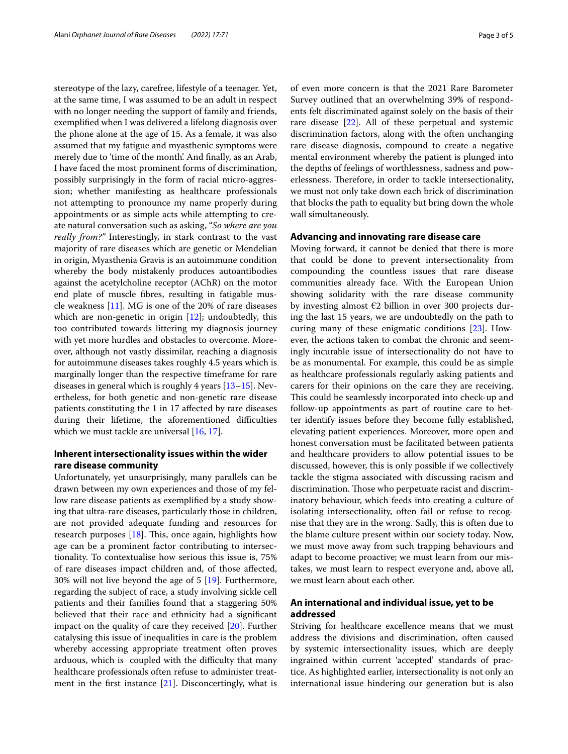stereotype of the lazy, carefree, lifestyle of a teenager. Yet, at the same time, I was assumed to be an adult in respect with no longer needing the support of family and friends, exemplifed when I was delivered a lifelong diagnosis over the phone alone at the age of 15. As a female, it was also assumed that my fatigue and myasthenic symptoms were merely due to 'time of the month'. And finally, as an Arab, I have faced the most prominent forms of discrimination, possibly surprisingly in the form of racial micro-aggression; whether manifesting as healthcare professionals not attempting to pronounce my name properly during appointments or as simple acts while attempting to create natural conversation such as asking, "*So where are you really from?"* Interestingly, in stark contrast to the vast majority of rare diseases which are genetic or Mendelian in origin, Myasthenia Gravis is an autoimmune condition whereby the body mistakenly produces autoantibodies against the acetylcholine receptor (AChR) on the motor end plate of muscle fbres, resulting in fatigable muscle weakness [[11](#page-3-10)]. MG is one of the 20% of rare diseases which are non-genetic in origin  $[12]$  $[12]$ ; undoubtedly, this too contributed towards littering my diagnosis journey with yet more hurdles and obstacles to overcome. Moreover, although not vastly dissimilar, reaching a diagnosis for autoimmune diseases takes roughly 4.5 years which is marginally longer than the respective timeframe for rare diseases in general which is roughly 4 years [[13–](#page-3-12)[15\]](#page-3-13). Nevertheless, for both genetic and non-genetic rare disease patients constituting the 1 in 17 afected by rare diseases during their lifetime, the aforementioned difficulties which we must tackle are universal [\[16,](#page-3-14) [17](#page-3-15)].

## **Inherent intersectionality issues within the wider rare disease community**

Unfortunately, yet unsurprisingly, many parallels can be drawn between my own experiences and those of my fellow rare disease patients as exemplifed by a study showing that ultra-rare diseases, particularly those in children, are not provided adequate funding and resources for research purposes  $[18]$ . This, once again, highlights how age can be a prominent factor contributing to intersectionality. To contextualise how serious this issue is, 75% of rare diseases impact children and, of those afected, 30% will not live beyond the age of 5 [\[19](#page-3-17)]. Furthermore, regarding the subject of race, a study involving sickle cell patients and their families found that a staggering 50% believed that their race and ethnicity had a signifcant impact on the quality of care they received [\[20](#page-3-18)]. Further catalysing this issue of inequalities in care is the problem whereby accessing appropriate treatment often proves arduous, which is coupled with the difficulty that many healthcare professionals often refuse to administer treatment in the first instance  $[21]$  $[21]$ . Disconcertingly, what is of even more concern is that the 2021 Rare Barometer Survey outlined that an overwhelming 39% of respondents felt discriminated against solely on the basis of their rare disease [\[22](#page-4-0)]. All of these perpetual and systemic discrimination factors, along with the often unchanging rare disease diagnosis, compound to create a negative mental environment whereby the patient is plunged into the depths of feelings of worthlessness, sadness and powerlessness. Therefore, in order to tackle intersectionality, we must not only take down each brick of discrimination that blocks the path to equality but bring down the whole wall simultaneously.

## **Advancing and innovating rare disease care**

Moving forward, it cannot be denied that there is more that could be done to prevent intersectionality from compounding the countless issues that rare disease communities already face. With the European Union showing solidarity with the rare disease community by investing almost €2 billion in over 300 projects during the last 15 years, we are undoubtedly on the path to curing many of these enigmatic conditions [[23\]](#page-4-1). However, the actions taken to combat the chronic and seemingly incurable issue of intersectionality do not have to be as monumental. For example, this could be as simple as healthcare professionals regularly asking patients and carers for their opinions on the care they are receiving. This could be seamlessly incorporated into check-up and follow-up appointments as part of routine care to better identify issues before they become fully established, elevating patient experiences. Moreover, more open and honest conversation must be facilitated between patients and healthcare providers to allow potential issues to be discussed, however, this is only possible if we collectively tackle the stigma associated with discussing racism and discrimination. Those who perpetuate racist and discriminatory behaviour, which feeds into creating a culture of isolating intersectionality, often fail or refuse to recognise that they are in the wrong. Sadly, this is often due to the blame culture present within our society today. Now, we must move away from such trapping behaviours and adapt to become proactive; we must learn from our mistakes, we must learn to respect everyone and, above all, we must learn about each other.

# **An international and individual issue, yet to be addressed**

Striving for healthcare excellence means that we must address the divisions and discrimination, often caused by systemic intersectionality issues, which are deeply ingrained within current 'accepted' standards of practice. As highlighted earlier, intersectionality is not only an international issue hindering our generation but is also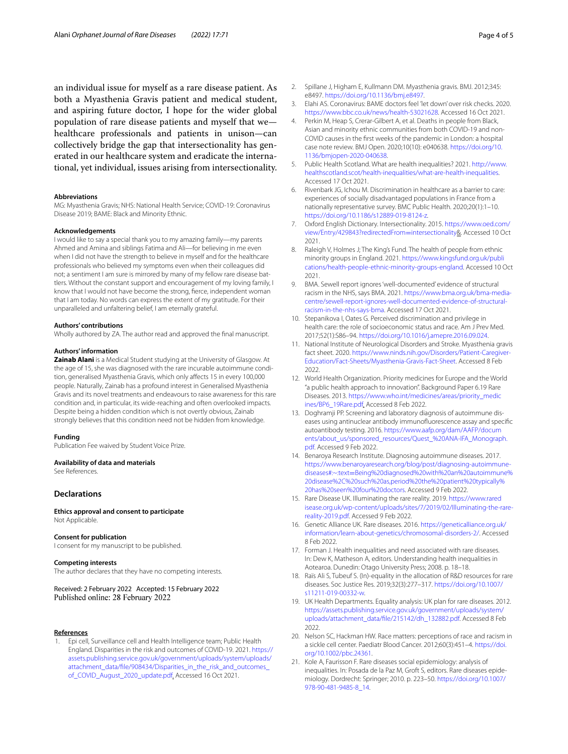an individual issue for myself as a rare disease patient. As both a Myasthenia Gravis patient and medical student, and aspiring future doctor, I hope for the wider global population of rare disease patients and myself that we healthcare professionals and patients in unison—can collectively bridge the gap that intersectionality has generated in our healthcare system and eradicate the international, yet individual, issues arising from intersectionality.

#### **Abbreviations**

MG: Myasthenia Gravis; NHS: National Health Service; COVID-19: Coronavirus Disease 2019; BAME: Black and Minority Ethnic.

#### **Acknowledgements**

I would like to say a special thank you to my amazing family—my parents Ahmed and Amina and siblings Fatima and Ali—for believing in me even when I did not have the strength to believe in myself and for the healthcare professionals who believed my symptoms even when their colleagues did not; a sentiment I am sure is mirrored by many of my fellow rare disease battlers. Without the constant support and encouragement of my loving family, I know that I would not have become the strong, ferce, independent woman that I am today. No words can express the extent of my gratitude. For their unparalleled and unfaltering belief, I am eternally grateful.

#### **Authors' contributions**

Wholly authored by ZA. The author read and approved the fnal manuscript.

#### **Authors' information**

**Zainab Alani** is a Medical Student studying at the University of Glasgow. At the age of 15, she was diagnosed with the rare incurable autoimmune condition, generalised Myasthenia Gravis, which only afects 15 in every 100,000 people. Naturally, Zainab has a profound interest in Generalised Myasthenia Gravis and its novel treatments and endeavours to raise awareness for this rare condition and, in particular, its wide-reaching and often overlooked impacts. Despite being a hidden condition which is not overtly obvious, Zainab strongly believes that this condition need not be hidden from knowledge.

#### **Funding**

Publication Fee waived by Student Voice Prize.

#### **Availability of data and materials**

See References.

## **Declarations**

**Ethics approval and consent to participate** Not Applicable.

#### **Consent for publication**

I consent for my manuscript to be published.

#### **Competing interests**

The author declares that they have no competing interests.

Received: 2 February 2022 Accepted: 15 February 2022 Published online: 28 February 2022

### **References**

<span id="page-3-0"></span>1. Epi cell, Surveillance cell and Health Intelligence team; Public Health England. Disparities in the risk and outcomes of COVID-19. 2021. [https://](https://assets.publishing.service.gov.uk/government/uploads/system/uploads/attachment_data/file/908434/Disparities_in_the_risk_and_outcomes_of_COVID_August_2020_update.pdf) [assets.publishing.service.gov.uk/government/uploads/system/uploads/](https://assets.publishing.service.gov.uk/government/uploads/system/uploads/attachment_data/file/908434/Disparities_in_the_risk_and_outcomes_of_COVID_August_2020_update.pdf) [attachment\\_data/fle/908434/Disparities\\_in\\_the\\_risk\\_and\\_outcomes\\_](https://assets.publishing.service.gov.uk/government/uploads/system/uploads/attachment_data/file/908434/Disparities_in_the_risk_and_outcomes_of_COVID_August_2020_update.pdf) [of\\_COVID\\_August\\_2020\\_update.pdf.](https://assets.publishing.service.gov.uk/government/uploads/system/uploads/attachment_data/file/908434/Disparities_in_the_risk_and_outcomes_of_COVID_August_2020_update.pdf) Accessed 16 Oct 2021.

- <span id="page-3-1"></span>2. Spillane J, Higham E, Kullmann DM. Myasthenia gravis. BMJ. 2012;345: e8497. <https://doi.org/10.1136/bmj.e8497>.
- <span id="page-3-2"></span>3. Elahi AS. Coronavirus: BAME doctors feel 'let down' over risk checks. 2020. <https://www.bbc.co.uk/news/health-53021628>. Accessed 16 Oct 2021.
- <span id="page-3-3"></span>4. Perkin M, Heap S, Crerar-Gilbert A, et al. Deaths in people from Black, Asian and minority ethnic communities from both COVID-19 and non-COVID causes in the frst weeks of the pandemic in London: a hospital case note review. BMJ Open. 2020;10(10): e040638. [https://doi.org/10.](https://doi.org/10.1136/bmjopen-2020-040638) [1136/bmjopen-2020-040638.](https://doi.org/10.1136/bmjopen-2020-040638)
- <span id="page-3-4"></span>5. Public Health Scotland. What are health inequalities? 2021. [http://www.](http://www.healthscotland.scot/health-inequalities/what-are-health-inequalities) [healthscotland.scot/health-inequalities/what-are-health-inequalities.](http://www.healthscotland.scot/health-inequalities/what-are-health-inequalities) Accessed 17 Oct 2021.
- <span id="page-3-5"></span>6. Rivenbark JG, Ichou M. Discrimination in healthcare as a barrier to care: experiences of socially disadvantaged populations in France from a nationally representative survey. BMC Public Health. 2020;20(1):1–10. <https://doi.org/10.1186/s12889-019-8124-z>.
- <span id="page-3-6"></span>7. Oxford English Dictionary. Intersectionality. 2015. [https://www.oed.com/](https://www.oed.com/view/Entry/429843?redirectedFrom=intersectionality) [view/Entry/429843?redirectedFrom](https://www.oed.com/view/Entry/429843?redirectedFrom=intersectionality)=intersectionality&. Accessed 10 Oct 2021.
- <span id="page-3-7"></span>8. Raleigh V, Holmes J; The King's Fund. The health of people from ethnic minority groups in England. 2021. [https://www.kingsfund.org.uk/publi](https://www.kingsfund.org.uk/publications/health-people-ethnic-minority-groups-england) [cations/health-people-ethnic-minority-groups-england.](https://www.kingsfund.org.uk/publications/health-people-ethnic-minority-groups-england) Accessed 10 Oct 2021.
- <span id="page-3-8"></span>9. BMA. Sewell report ignores 'well-documented' evidence of structural racism in the NHS, says BMA. 2021. [https://www.bma.org.uk/bma-media](https://www.bma.org.uk/bma-media-centre/sewell-report-ignores-well-documented-evidence-of-structural-racism-in-the-nhs-says-bma)[centre/sewell-report-ignores-well-documented-evidence-of-structural](https://www.bma.org.uk/bma-media-centre/sewell-report-ignores-well-documented-evidence-of-structural-racism-in-the-nhs-says-bma)[racism-in-the-nhs-says-bma.](https://www.bma.org.uk/bma-media-centre/sewell-report-ignores-well-documented-evidence-of-structural-racism-in-the-nhs-says-bma) Accessed 17 Oct 2021.
- <span id="page-3-9"></span>10. Stepanikova I, Oates G. Perceived discrimination and privilege in health care: the role of socioeconomic status and race. Am J Prev Med. 2017;52(1):S86–94. <https://doi.org/10.1016/j.amepre.2016.09.024>.
- <span id="page-3-10"></span>11. National Institute of Neurological Disorders and Stroke. Myasthenia gravis fact sheet. 2020. [https://www.ninds.nih.gov/Disorders/Patient-Caregiver-](https://www.ninds.nih.gov/Disorders/Patient-Caregiver-Education/Fact-Sheets/Myasthenia-Gravis-Fact-Sheet)[Education/Fact-Sheets/Myasthenia-Gravis-Fact-Sheet.](https://www.ninds.nih.gov/Disorders/Patient-Caregiver-Education/Fact-Sheets/Myasthenia-Gravis-Fact-Sheet) Accessed 8 Feb 2022.
- <span id="page-3-11"></span>12. World Health Organization. Priority medicines for Europe and the World "a public health approach to innovation". Background Paper 6.19 Rare Diseases. 2013. [https://www.who.int/medicines/areas/priority\\_medic](https://www.who.int/medicines/areas/priority_medicines/BP6_19Rare.pdf) [ines/BP6\\_19Rare.pdf.](https://www.who.int/medicines/areas/priority_medicines/BP6_19Rare.pdf) Accessed 8 Feb 2022.
- <span id="page-3-12"></span>13. Doghramji PP. Screening and laboratory diagnosis of autoimmune diseases using antinuclear antibody immunofuorescence assay and specifc autoantibody testing. 2016. [https://www.aafp.org/dam/AAFP/docum](https://www.aafp.org/dam/AAFP/documents/about_us/sponsored_resources/Quest_%20ANA-IFA_Monograph.pdf) [ents/about\\_us/sponsored\\_resources/Quest\\_%20ANA-IFA\\_Monograph.](https://www.aafp.org/dam/AAFP/documents/about_us/sponsored_resources/Quest_%20ANA-IFA_Monograph.pdf) [pdf.](https://www.aafp.org/dam/AAFP/documents/about_us/sponsored_resources/Quest_%20ANA-IFA_Monograph.pdf) Accessed 9 Feb 2022.
- 14. Benaroya Research Institute. Diagnosing autoimmune diseases. 2017. [https://www.benaroyaresearch.org/blog/post/diagnosing-autoimmune](https://www.benaroyaresearch.org/blog/post/diagnosing-autoimmune-diseases#:~:text=Being%20diagnosed%20with%20an%20autoimmune%20disease%2C%20such%20as,period%20the%20patient%20typically%20has%20seen%20four%20doctors)diseases#:~:text=[Being%20diagnosed%20with%20an%20autoimmune%](https://www.benaroyaresearch.org/blog/post/diagnosing-autoimmune-diseases#:~:text=Being%20diagnosed%20with%20an%20autoimmune%20disease%2C%20such%20as,period%20the%20patient%20typically%20has%20seen%20four%20doctors) [20disease%2C%20such%20as,period%20the%20patient%20typically%](https://www.benaroyaresearch.org/blog/post/diagnosing-autoimmune-diseases#:~:text=Being%20diagnosed%20with%20an%20autoimmune%20disease%2C%20such%20as,period%20the%20patient%20typically%20has%20seen%20four%20doctors) [20has%20seen%20four%20doctors.](https://www.benaroyaresearch.org/blog/post/diagnosing-autoimmune-diseases#:~:text=Being%20diagnosed%20with%20an%20autoimmune%20disease%2C%20such%20as,period%20the%20patient%20typically%20has%20seen%20four%20doctors) Accessed 9 Feb 2022.
- <span id="page-3-13"></span>15. Rare Disease UK. Illuminating the rare reality. 2019. [https://www.rared](https://www.raredisease.org.uk/wp-content/uploads/sites/7/2019/02/Illuminating-the-rare-reality-2019.pdf) [isease.org.uk/wp-content/uploads/sites/7/2019/02/Illuminating-the-rare](https://www.raredisease.org.uk/wp-content/uploads/sites/7/2019/02/Illuminating-the-rare-reality-2019.pdf)[reality-2019.pdf.](https://www.raredisease.org.uk/wp-content/uploads/sites/7/2019/02/Illuminating-the-rare-reality-2019.pdf) Accessed 9 Feb 2022.
- <span id="page-3-14"></span>16. Genetic Alliance UK. Rare diseases. 2016. [https://geneticalliance.org.uk/](https://geneticalliance.org.uk/information/learn-about-genetics/chromosomal-disorders-2/) [information/learn-about-genetics/chromosomal-disorders-2/.](https://geneticalliance.org.uk/information/learn-about-genetics/chromosomal-disorders-2/) Accessed 8 Feb 2022.
- <span id="page-3-15"></span>17. Forman J. Health inequalities and need associated with rare diseases. In: Dew K, Matheson A, editors. Understanding health inequalities in Aotearoa. Dunedin: Otago University Press; 2008. p. 18–18.
- <span id="page-3-16"></span>18. Raïs Ali S, Tubeuf S. (In)-equality in the allocation of R&D resources for rare diseases. Soc Justice Res. 2019;32(3):277–317. [https://doi.org/10.1007/](https://doi.org/10.1007/s11211-019-00332-w) [s11211-019-00332-w.](https://doi.org/10.1007/s11211-019-00332-w)
- <span id="page-3-17"></span>19. UK Health Departments. Equality analysis: UK plan for rare diseases. 2012. [https://assets.publishing.service.gov.uk/government/uploads/system/](https://assets.publishing.service.gov.uk/government/uploads/system/uploads/attachment_data/file/215142/dh_132882.pdf) [uploads/attachment\\_data/fle/215142/dh\\_132882.pdf](https://assets.publishing.service.gov.uk/government/uploads/system/uploads/attachment_data/file/215142/dh_132882.pdf). Accessed 8 Feb 2022.
- <span id="page-3-18"></span>20. Nelson SC, Hackman HW. Race matters: perceptions of race and racism in a sickle cell center. Paediatr Blood Cancer. 2012;60(3):451–4. [https://doi.](https://doi.org/10.1002/pbc.24361) [org/10.1002/pbc.24361.](https://doi.org/10.1002/pbc.24361)
- <span id="page-3-19"></span>21. Kole A, Faurisson F. Rare diseases social epidemiology: analysis of inequalities. In: Posada de la Paz M, Groft S, editors. Rare diseases epidemiology. Dordrecht: Springer; 2010. p. 223–50. [https://doi.org/10.1007/](https://doi.org/10.1007/978-90-481-9485-8_14) [978-90-481-9485-8\\_14](https://doi.org/10.1007/978-90-481-9485-8_14).